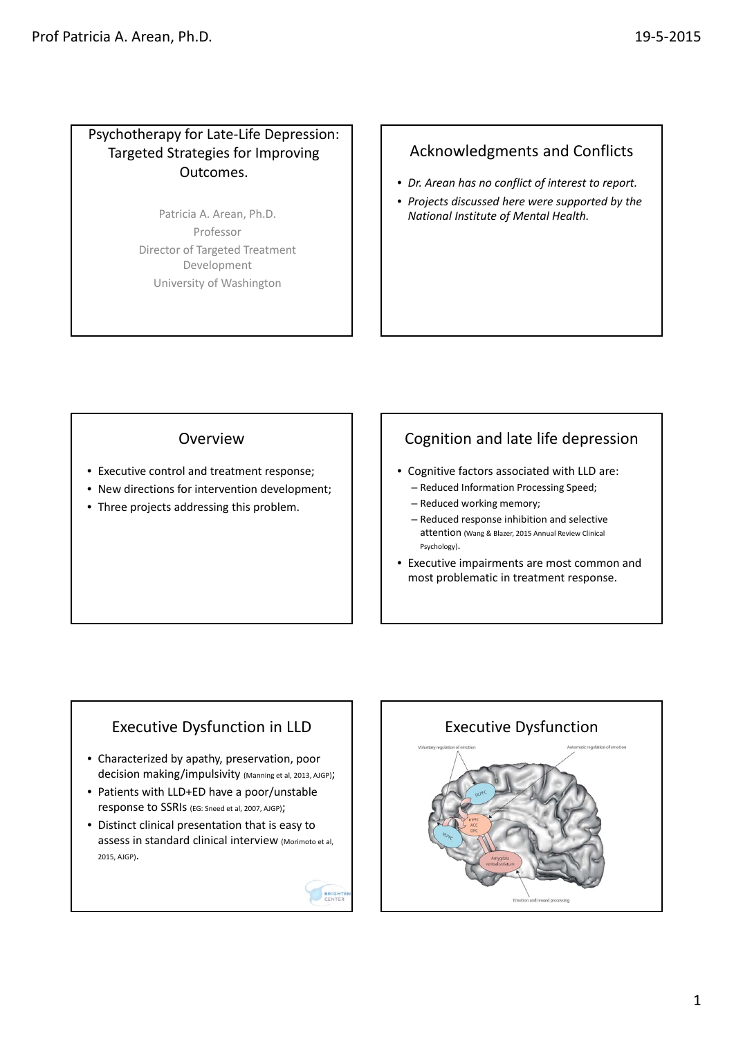### Psychotherapy for Late‐Life Depression: Targeted Strategies for Improving Outcomes.

Patricia A. Arean, Ph.D. Professor Director of Targeted Treatment Development University of Washington

# Acknowledgments and Conflicts

- *Dr. Arean has no conflict of interest to report.*
- *Projects discussed here were supported by the National Institute of Mental Health.*

### Overview

- Executive control and treatment response;
- New directions for intervention development;
- Three projects addressing this problem.

# Cognition and late life depression

- Cognitive factors associated with LLD are:
	- Reduced Information Processing Speed;
	- Reduced working memory;
	- Reduced response inhibition and selective attention (Wang & Blazer, 2015 Annual Review Clinical Psychology).
- Executive impairments are most common and most problematic in treatment response.

# Executive Dysfunction in LLD

- Characterized by apathy, preservation, poor decision making/impulsivity (Manning et al, 2013, AJGP);
- Patients with LLD+ED have a poor/unstable response to SSRIs (EG: Sneed et al, 2007, AJGP);
- Distinct clinical presentation that is easy to assess in standard clinical interview (Morimoto et al, 2015, AJGP).



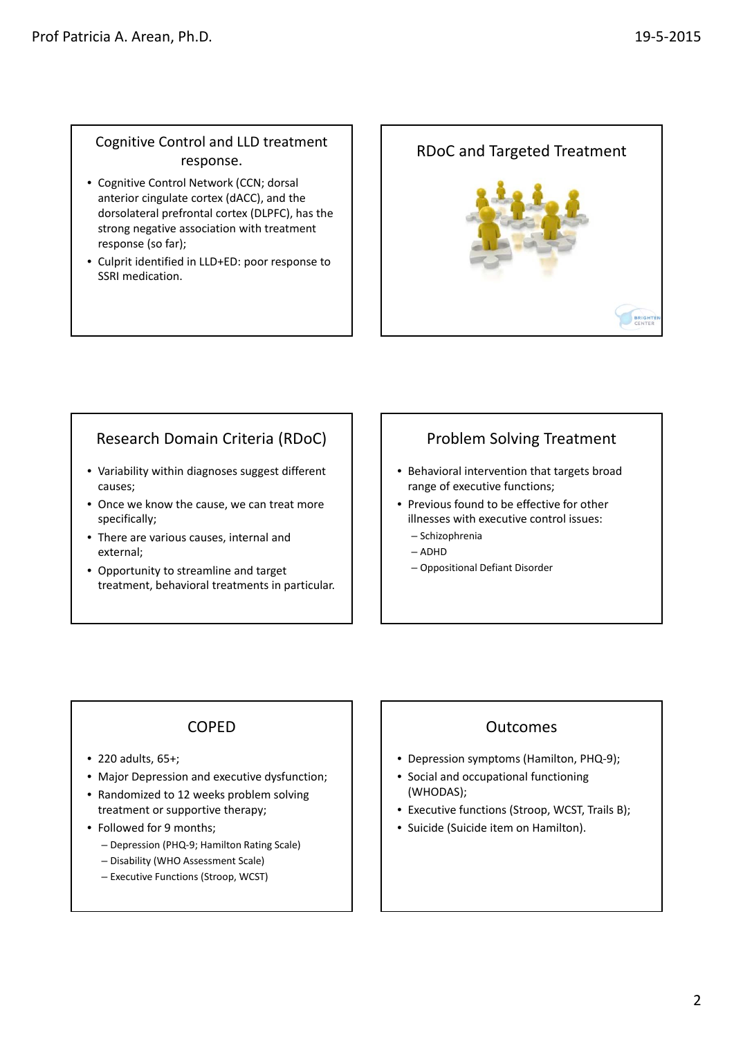### Cognitive Control and LLD treatment response.

- Cognitive Control Network (CCN; dorsal anterior cingulate cortex (dACC), and the dorsolateral prefrontal cortex (DLPFC), has the strong negative association with treatment response (so far);
- Culprit identified in LLD+ED: poor response to SSRI medication.



# Research Domain Criteria (RDoC)

- Variability within diagnoses suggest different causes;
- Once we know the cause, we can treat more specifically;
- There are various causes, internal and external;
- Opportunity to streamline and target treatment, behavioral treatments in particular.

## Problem Solving Treatment

- Behavioral intervention that targets broad range of executive functions;
- Previous found to be effective for other illnesses with executive control issues:
	- Schizophrenia – ADHD
	- Oppositional Defiant Disorder
- 

# COPED

- 220 adults, 65+;
- Major Depression and executive dysfunction;
- Randomized to 12 weeks problem solving treatment or supportive therapy;
- Followed for 9 months;
	- Depression (PHQ‐9; Hamilton Rating Scale)
	- Disability (WHO Assessment Scale)
	- Executive Functions (Stroop, WCST)

### **Outcomes**

- Depression symptoms (Hamilton, PHQ-9);
- Social and occupational functioning (WHODAS);
- Executive functions (Stroop, WCST, Trails B);
- Suicide (Suicide item on Hamilton).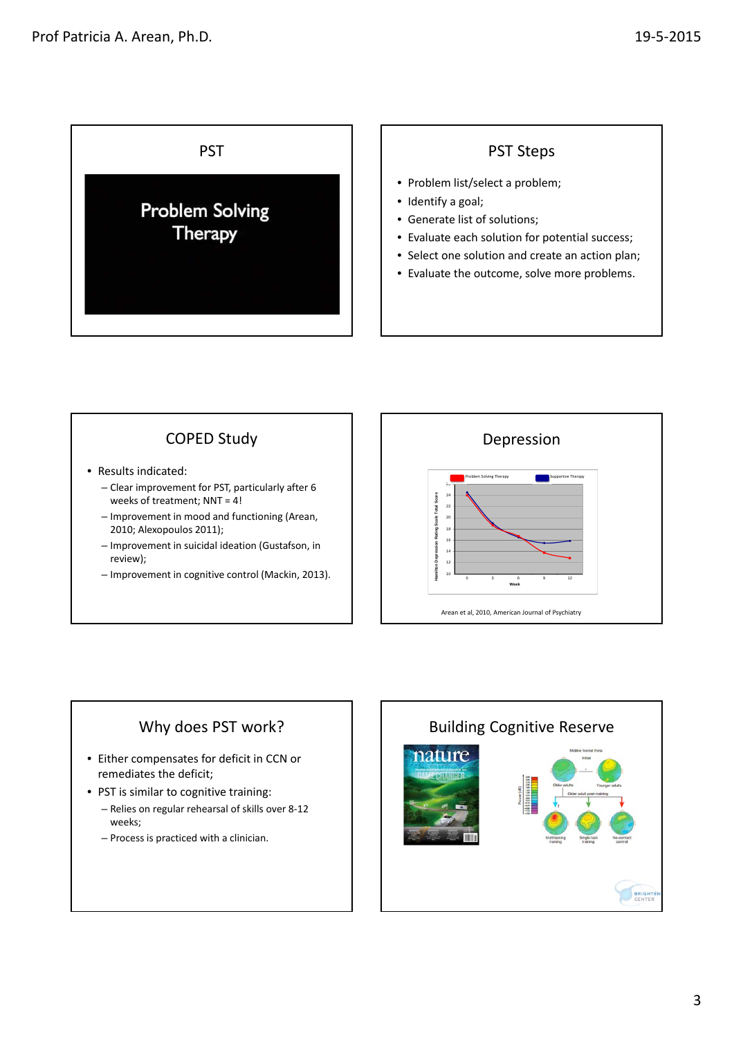



# Why does PST work?

- Either compensates for deficit in CCN or remediates the deficit;
- PST is similar to cognitive training:
	- Relies on regular rehearsal of skills over 8‐12 weeks;
	- Process is practiced with a clinician.

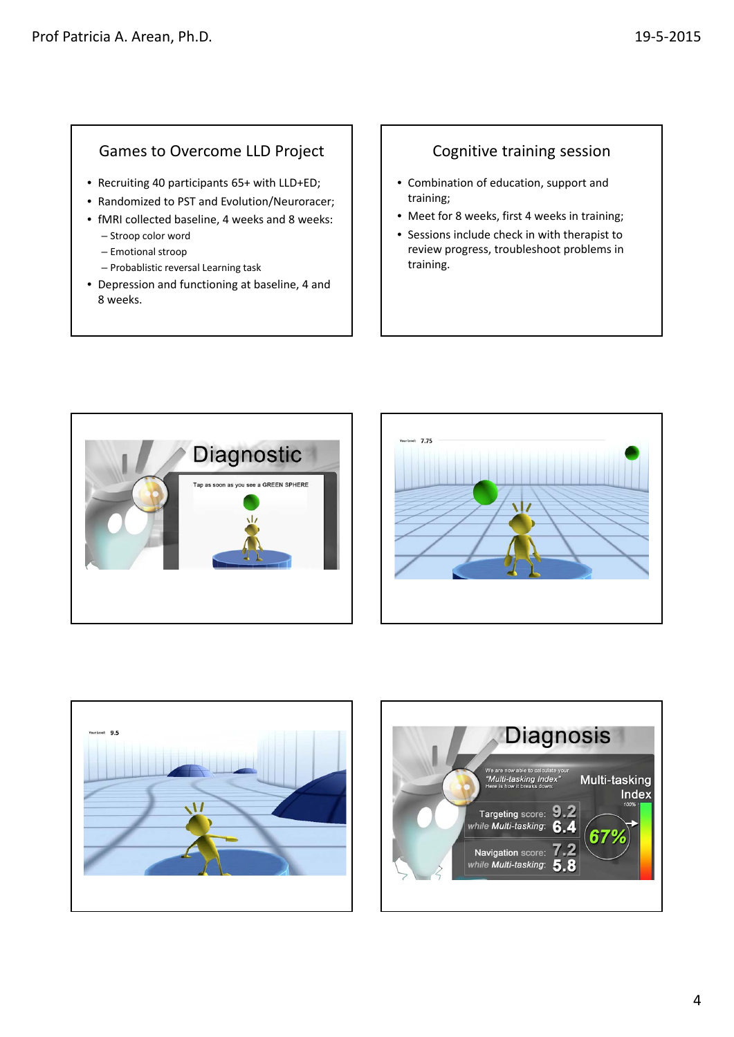#### Games to Overcome LLD Project

- Recruiting 40 participants 65+ with LLD+ED;
- Randomized to PST and Evolution/Neuroracer;
- fMRI collected baseline, 4 weeks and 8 weeks:
	- Stroop color word
	- Emotional stroop
	- Probablistic reversal Learning task
- Depression and functioning at baseline, 4 and 8 weeks.

### Cognitive training session

- Combination of education, support and training;
- Meet for 8 weeks, first 4 weeks in training;
- Sessions include check in with therapist to review progress, troubleshoot problems in training.







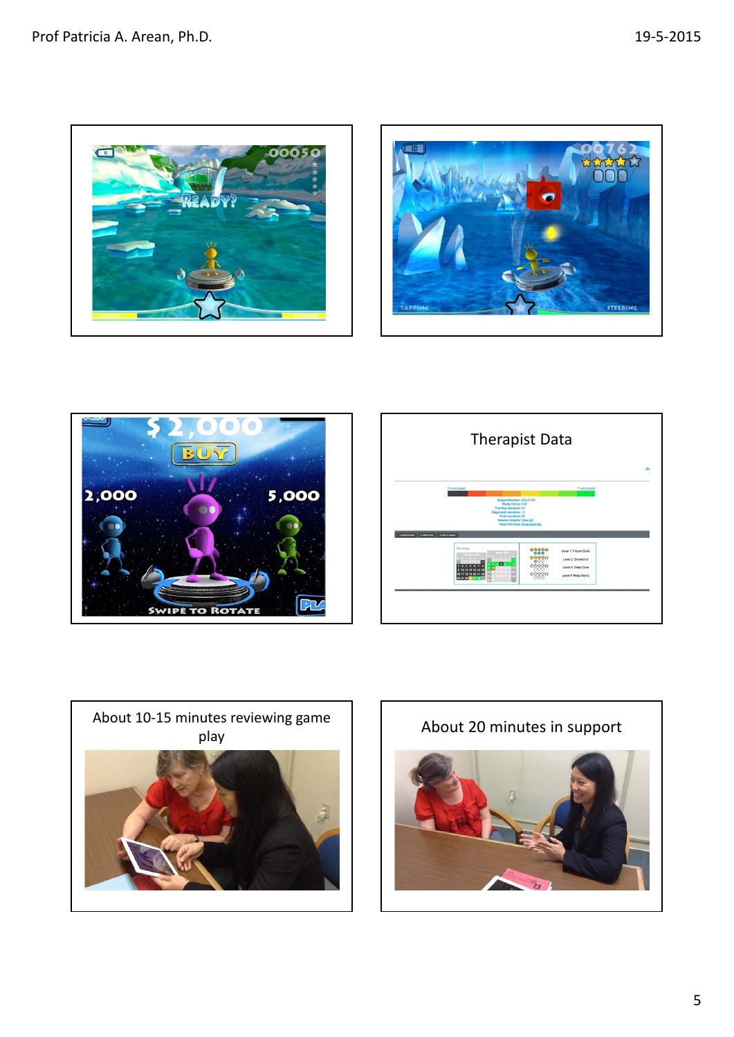









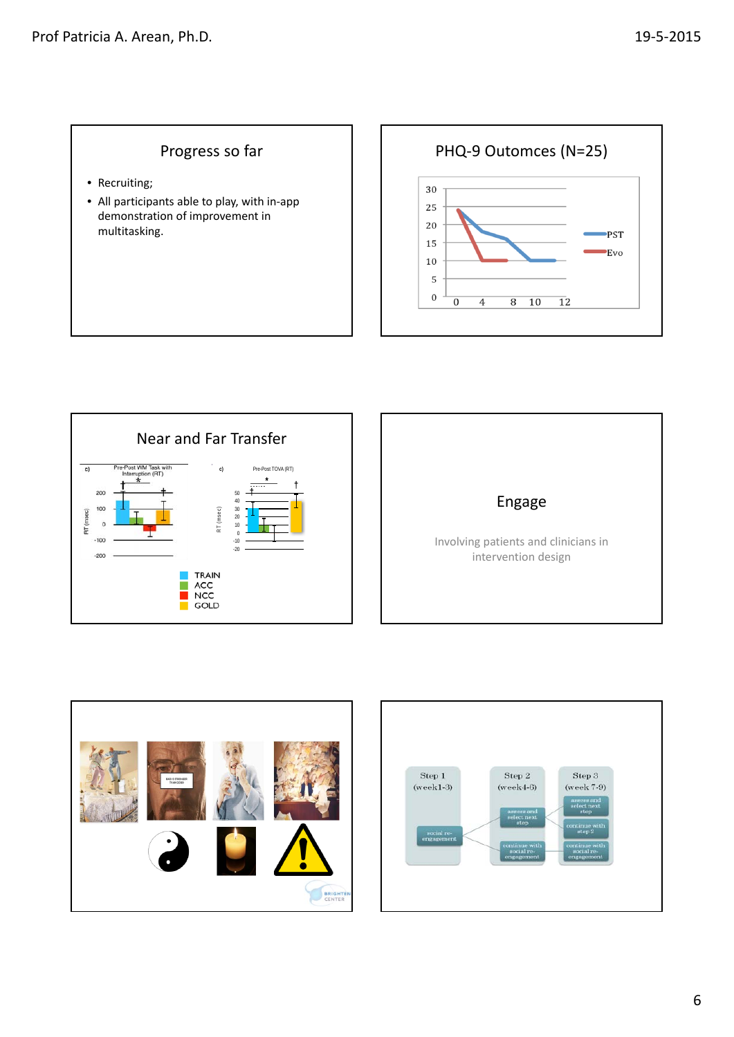## Progress so far

- Recruiting;
- All participants able to play, with in‐app demonstration of improvement in multitasking.

PHQ‐9 Outomces (N=25) 30 25 20 PST 15 Evo  $10\,$  $\mathsf S$  $\boldsymbol{0}$  $\overline{0}$  $\overline{4}$  $8\quad 10$  $\overline{12}$ 







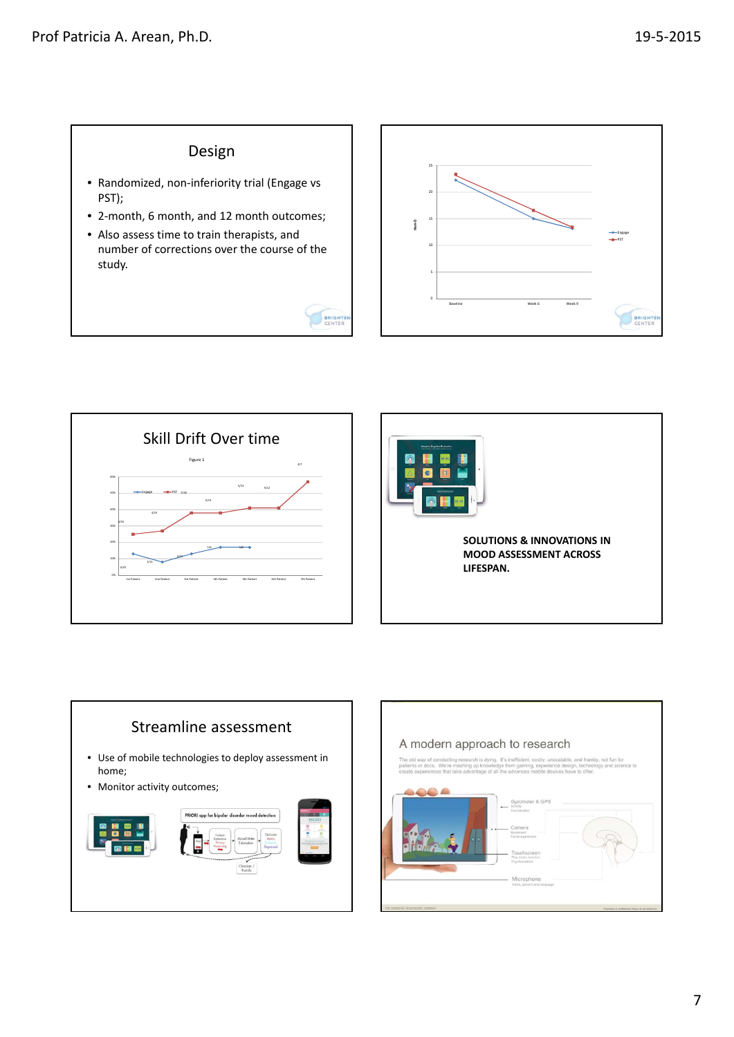